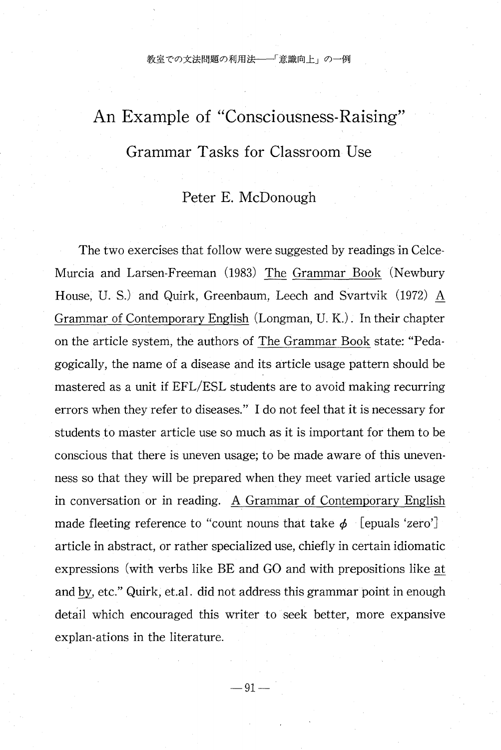教室での文法問題の利用法–––「意識向上」の一例

# An Example of "Consciousness-Raising" Grammar Tasks for Classroom Use

# Peter E. McDonough

The two exercises that follow were suggested by readings in Celce-Murcia and Larsen-Freeman (1983) The Grammar Book (Newbury House, U. S.) and Quirk, Greenbaum, Leech and Svartvik (1972) A Grammar of Contemporary English (Longman, U. K.) . In their chapter on the article system, the authors of The Grammar Book state: "Pedagogically, the name of a disease and its article usage pattern should be mastered as a unit if EFL/ESL students are to avoid making recurring errors when they refer to diseases." I do not feel that it is necessary for students to master article use so much as it is important for them to be conscious that there is uneven usage; to be made aware of this unevenness so that they will be prepared when they meet varied article usage in conversation or in reading. A Grammar of Contemporary English made fleeting reference to "count nouns that take  $\phi$  [epuals 'zero'] article in abstract, or rather specialized use, chiefly in certain idiomatic expressions (with verbs like BE and GO and with prepositions like at and by, etc." Quirk, et.al. did not address this grammar point in enough detail which encouraged this writer to seek better, more expansive explan-ations in the literature.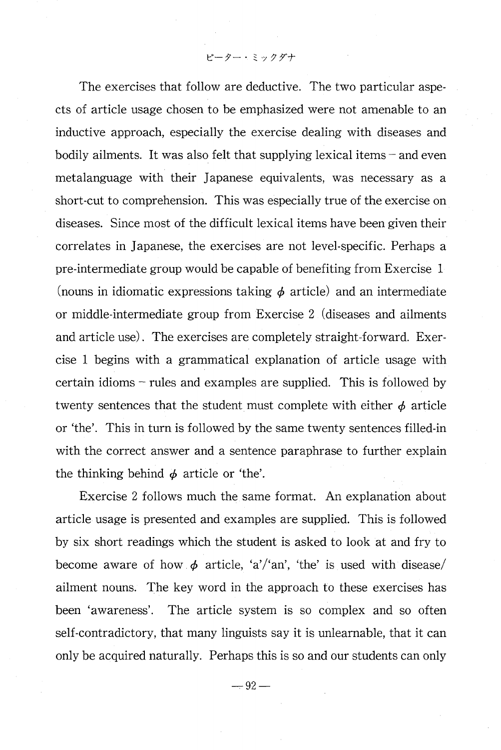ピーター・ミックダナ

 The exercises that follow are deductive. The two particular aspects of article usage chosen to be emphasized were not amenable to an inductive approach, especially the exercise dealing with diseases and bodily ailments. It was also felt that supplying lexical items – and even metalanguage with their Japanese equivalents, was necessary as a short-cut to comprehension. This was especially true of the exercise on diseases. Since most of the difficult lexical items have been given their correlates in Japanese, the exercises are not level-specific. Perhaps a pre-intermediate group would be capable of benefiting from Exercise 1 (nouns in idiomatic expressions taking  $\phi$  article) and an intermediate or middle-intermediate group from Exercise 2 (diseases and ailments and article use) . The exercises are completely straight-forward. Exercise 1 begins with a grammatical explanation of article usage with certain idioms – rules and examples are supplied. This is followed by twenty sentences that the student must complete with either  $\phi$  article or 'the'. This in turn is followed by the same twenty sentences filled-in with the correct answer and a sentence paraphrase to further explain the thinking behind  $\phi$  article or 'the'.

Exercise 2 follows much the same format. An explanation about article usage is presented and examples are supplied. This is followed by six short readings which the student is asked to look at and fry to become aware of how  $\phi$  article, 'a'/'an', 'the' is used with disease/ ailment nouns. The key word in the approach to these exercises has been 'awareness'. The article system is so complex and so often self-contradictory, that many linguists say it is unlearnable, that it can only be acquired naturally. Perhaps this is so and our students can only

 $-92-$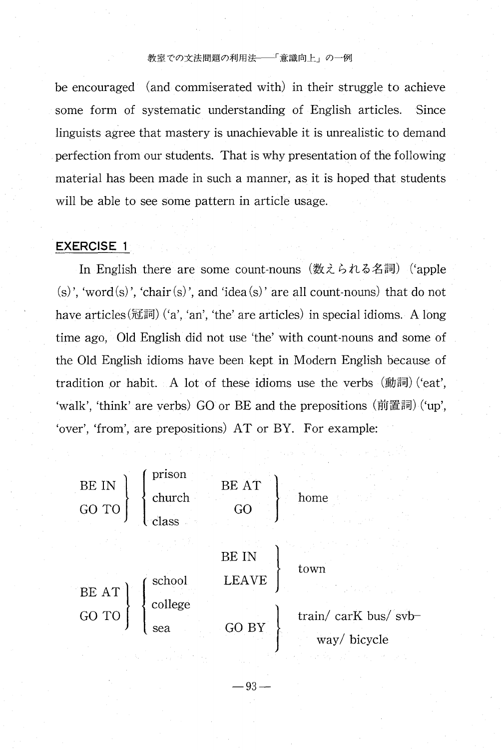### 教室での文法問題の利用法 ––「意識向上」の一例

be encouraged (and commiserated with) in their struggle to achieve some form of systematic understanding of English articles. Since linguists agree that mastery is unachievable it is unrealistic to demand perfection from our students. That is why presentation of the following material has been made in such a manner, as it is hoped that students will be able to see some pattern in article usage.

# EXERCISE 1

In English there are some count-nouns (数えられる名詞) ('apple (s)', 'word(s)', 'chair(s)', and 'idea(s)' are all count-nouns) that do not have  $\arctan(\mathbb{E}|\mathbb{H})$  ('a', 'an', 'the' are articles) in special idioms. A long time ago, Old English did not use`the'with count-nouns and some of the Old English idioms have been-kept in Modern English because of tradition or habit. A lot of these idioms use the verbs  $(\text{jj} \overline{\text{m}})$  ('eat', 'walk', 'think' are verbs) GO or BE and the prepositions (前置詞) ('up', 'over', 'from', are prepositions) AT or BY. For example:



-93一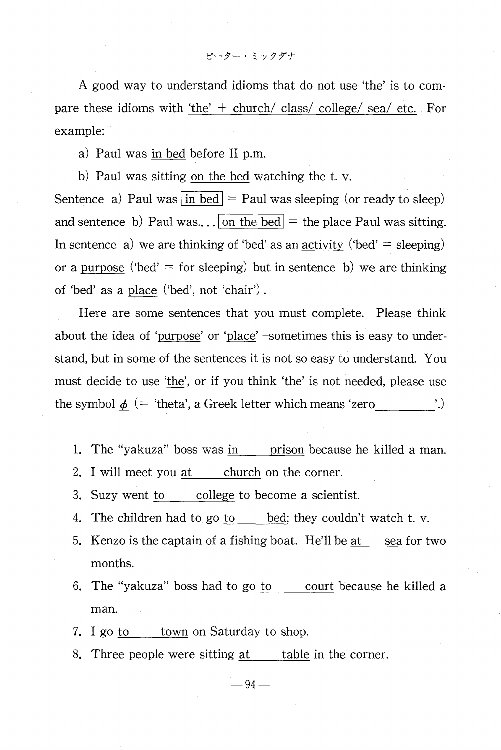A good way to understand idioms that do not use 'the' is to compare these idioms with 'the'  $+$  church/ class/ college/ sea/ etc. For example:

a) Paul was in bed before II p.m.

b) Paul was sitting on the bed watching the t. v.

Sentence a) Paul was  $\overline{in \text{ bed}}$  = Paul was sleeping (or ready to sleep) and sentence b) Paul was... on the bed  $=$  the place Paul was sitting. In sentence a) we are thinking of 'bed' as an activity ('bed'  $=$  sleeping) or a purpose ('bed'  $=$  for sleeping) but in sentence b) we are thinking of 'bed' as a place ('bed', not 'chair').

Here are some sentences that you must complete. Please think about the idea of 'purpose' or 'place' —sometimes this is easy to understand, but in some of the sentences it is not so easy to understand. You must decide to use 'the', or if you think 'the' is not needed, please use the symbol  $\phi$  (= 'theta', a Greek letter which means 'zero '.)

1. The "yakuza" boss was in prison because he killed a man.

2. I will meet you at church on the corner.

- 3. Suzy went to college to become a scientist.
- 4. The children had to go  $\underline{to}$  bed; they couldn't watch t. v.
- 5. Kenzo is the captain of a fishing boat. He'll be at sea for two months.
- 6. The "yakuza" boss had to go to court because he killed a man.
- 7. I go to town on Saturday to shop.
- 8. Three people were sitting at table in the corner.

 $-94-$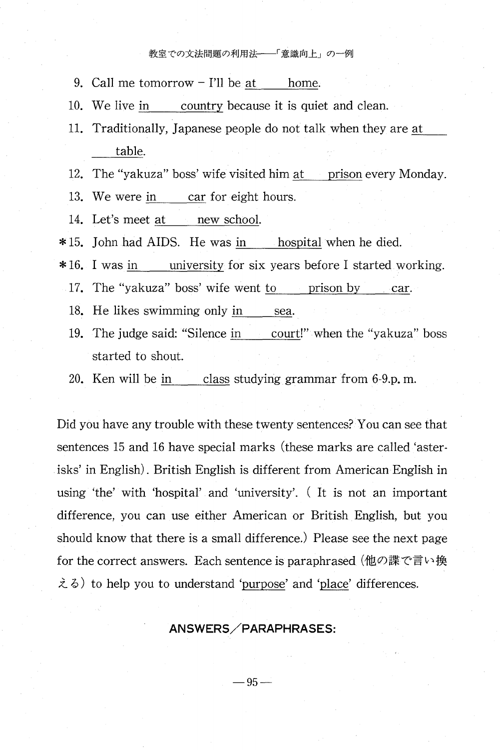#### 教室での文法問題の利用法 ––「意識向上」の一例

- 9. Call me  $tomorrow-1'$ ll be at home.
- 10. We live in country because it is quiet and clean.
- 11. Traditionally, Japanese people do not talk when they are at table.
- 12. The "yakuza" boss' wife visited him at prison every Monday.

13. We were in car for eight hours.

14. Let's meet at new school.

\*15. John had AIDS. He was in hospital when he died.

\*16. I was in university for six years before I started working.

17. The "yakuza" boss' wife went to prison by car.

- 18. He likes swimming only in sea.
- 19. The judge said: "Silence in court!" when the "yakuza" boss started to shout.
- 20. Ken will be in class studying grammar from  $6-9$ .p, m.

Did you have any trouble with these twenty sentences? You can see that sentences 15 and 16 have special marks (these marks are called 'asterisks' in English). British English is different from American English in using 'the' with 'hospital' and 'university'. (It is not an important difference, you can use either American or British English, but you should know that there is a small difference.) Please see the next page for the correct answers. Each sentence is paraphrased (他の諜で言い換  $\lambda \delta$ ) to help you to understand 'purpose' and 'place' differences.

# ANSWERS/PARAPHRASES:

 $-9$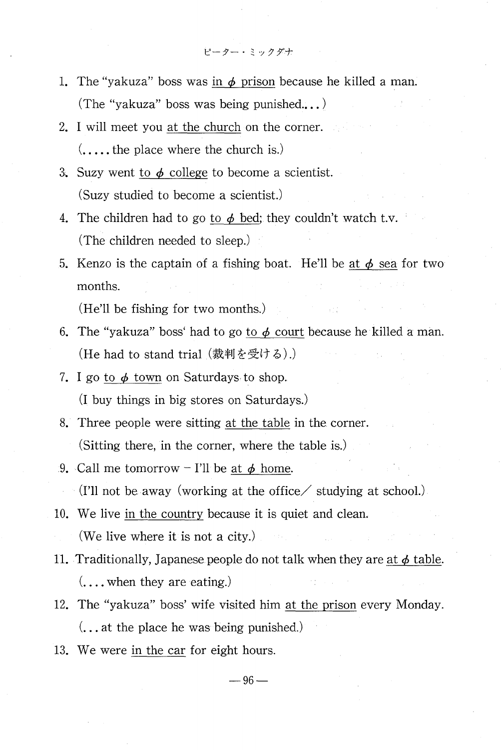- ピーター・ミックダナ
- 1. The "yakuza" boss was in  $\phi$  prison because he killed a man. (The "yakuza" boss was being punished...)
- 2. I will meet you at the church on the corner.  $($ ....the place where the church is.)
- 3. Suzy went to  $\phi$  college to become a scientist. (Suzy studied to become a scientist.)
- 4. The children had to go to  $\phi$  bed; they couldn't watch t.v. (The children needed to sleep.)
- 5. Kenzo is the captain of a fishing boat. He'll be at  $\phi$  sea for two months.

(He'll be fishing for two months.)

- 6. The "yakuza" boss' had to go to  $\phi$  court because he killed a man. (He had to stand trial (裁判を受ける).)
- 7. I go to  $\phi$  town on Saturdays to shop. (Ibuy things in big stores on Saturdays.)
- 8. Three people were sitting at the table in the corner. (Sitting there, in the corner, where the table is.)
- 9. Call me tomorrow I'll be at  $\phi$  home.

 $\lvert$  (I'll not be away (working at the office  $\ell$  studying at school.)

- 10.We live in the country because it is quiet and clean. (We live where it is not a city.)
- 11. Traditionally, Japanese people do not talk when they are at  $\phi$  table.  $(\ldots, \ldots, \ldots, \ldots)$  when they are eating.)
- 12. The "yakuza" boss' wife visited him at the prison every Monday.  $\dots$  at the place he was being punished.)
- 13.We were in the car for eight hours.

 $-9$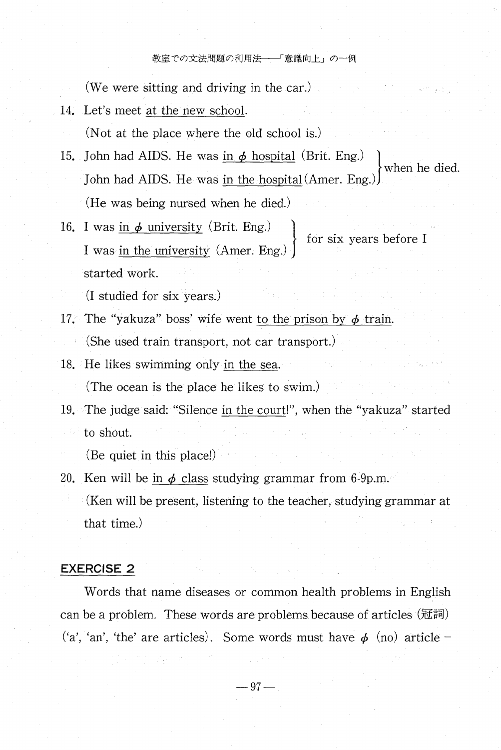#### 教室での文法問題の利用法 ––「意識向上」の一例

(We were sitting and driving in the car.)

14. Let's meet at the new school.

(Not at the place where the old school is.)

- 15. John had AIDS. He was in  $\phi$  hospital (Brit. Eng.) when he died. John had AIDS. He was in the hospital (Amer. Eng. (He was being nursed when he died.)
- $16. I<sub>1</sub>$ I was in the university (Amer. Eng.) started work.

(Istudied for six years:)

- 17. The "yakuza" boss' wife went to the prison by  $\phi$  train. (She used train transport, not car transport.)
- 18. He likes swimming only in the sea. (The ocean is the place he likes to swim.)
- 19.The judge said:"Silence in the court!", when the"yakuza"started to shout.

(Be quiet in this place!)

20. Ken will be in  $\phi$  class studying grammar from 6-9p.m. (Ken will be present, listening to the teacher, studying grammar at that time.)

# EXERCISE 2

 Words that name diseases or common health problems in English can be a problem. These words are problems because of articles (冠詞) ('a', 'an', 'the' are articles). Some words must have  $\phi$  (no) article -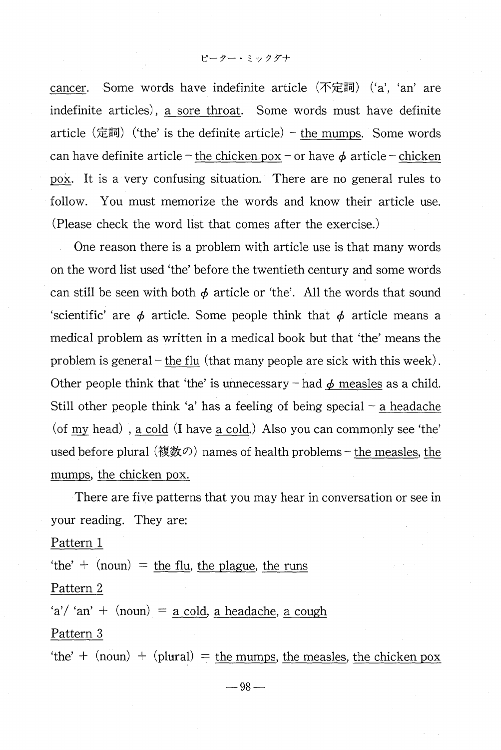cancer. Some words have indefinite article  $(\overline{\text{π}})$  ('a', 'an' are indefinite articles), a sore throat. Some words must have definite article (定詞) ('the' is the definite article) – the mumps. Some words can have definite article – the chicken pox – or have  $\phi$  article – chicken pox. It is a very confusing situation. There are no general rules to follow. You must memorize the words and know their article use. (Please check the word list that.comes after the exercise.)

One reason there is a problem with article use is that many words on the word list used 'the' before the twentieth century and some words can still be seen with both  $\phi$  article or 'the'. All the words that sound 'scientific' are  $\phi$  article. Some people think that  $\phi$  article means a medical problem as written in a medical book but that 'the' means the problem is general – the flu (that many people are sick with this week). Other people think that 'the' is unnecessary - had  $\phi$  measles as a child. Still other people think 'a' has a feeling of being special – a headache (of  $my$  head), a cold (I have a cold.) Also you can commonly see 'the' used before plural (複数の) names of health problems – the measles, the mumps, the chicken pox.

 There are five patterns that you may hear in conversation or see in your reading. They are:

Pattern 1

'the'  $+$  (noun) = the flu, the plague, the run

Pattern 2

'a'/'an' +  $(noun) = a cold$ , a headache, a cou

Pattern 3

'the'  $+$  (noun)  $+$  (plural) = the mumps, the measles, the chicken pox

 $-98-$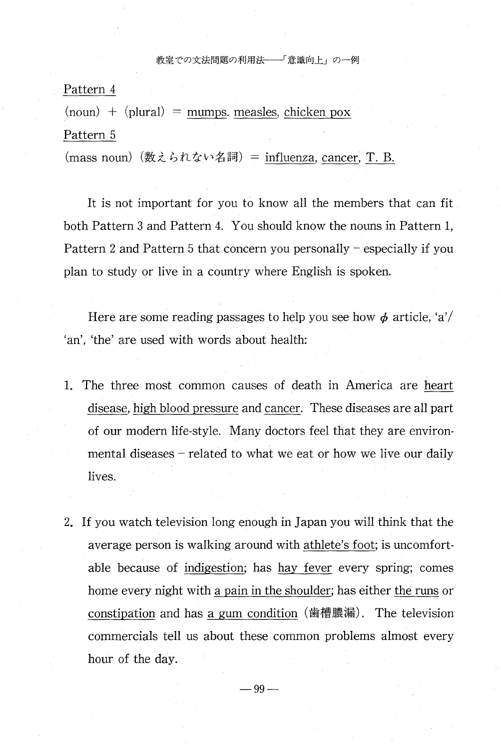#### 教室での文法問題の利用法 –––「意識向上」の一例

Pattern 4

 $(noun) + (plural) = mumps. *measles*, *chicken*  $pox$$ Pattern 5

(mass noun) (数えられない名詞) = influenza, cancer, T. B.

It is not important for you to know all the members that can fit both Pattern 3 and Pattern 4. You should know the nouns in Pattern 1, Pattern 2 and Pattern 5 that concern you personally – especially if you plan to study or live in a country where English is spoken.

Here are some reading passages to help you see how  $\phi$  article, 'a'/ 'an', 'the' are used with words about healt

- 1. The three most common causes of death in America are heart disease, high blood pressure and cancer. These diseases are all part of our modern life-style. Many doctors feel that they are environ mental diseases – related to what we eat or how we live our daily lives.
- 2.If you watch television long enough in Japan you will think that the average person is walking around with athlete's foot; is uncomfortable because of indigestion; has hay fever every spring; comes home every night with a pain in the shoulder; has either the runs or constipation and has a gum condition (歯槽膿漏). The television commercials tell us about these common problems almost every hour of the day.

 $-99-$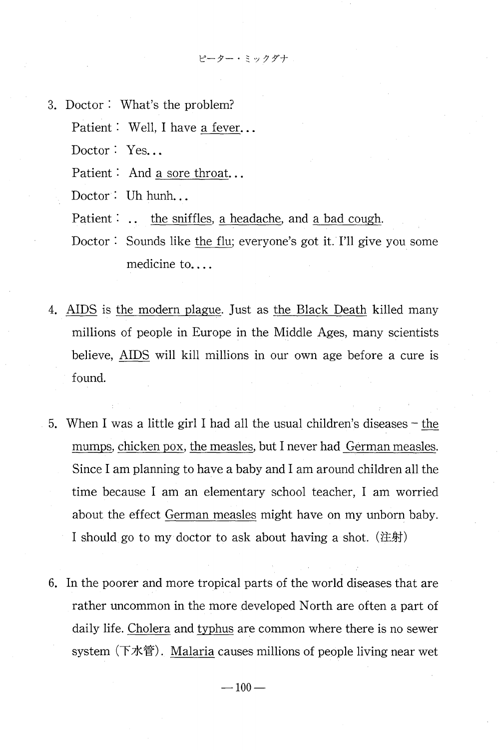ピーター・ミックダナ

- 3.Doctor二What's the problem?
	- Patient: Well, I have a fever...
	- Doctor: Yes...
	- Patient: And a sore throat...
	- Doctor: Uh hunh...
	- Patient:  $\ldots$  the sniffles, a headache, and a bad cough.
	- Doctor: Sounds like the flu; everyone's got it. I'll give you some medicine to....
- 4.AIDS is the modern plague. Just as the Black Death killed many millions of people in Europe in the Middle Ages, many scientists believe, AIDS will kill millions in our own age before a cure is found.
- 5. When I was a little girl I had all the usual children's diseases the mumps, chicken pox, the measles, but I never had German measles. Since I am planning to have a baby and I am around children all the time because I am an elementary school teacher, I am worried about the effect German measles might have on my unborn baby. I should go to my doctor to ask about having a shot.  $(E)$
- 6.In the poorer and more tropical parts of the world diseases that are rather uncommon in the more developed North are often a part of daily life. Cholera and typhus are common where there is no sewer system  $($ 下水管 $)$ . Malaria causes millions of people living near wet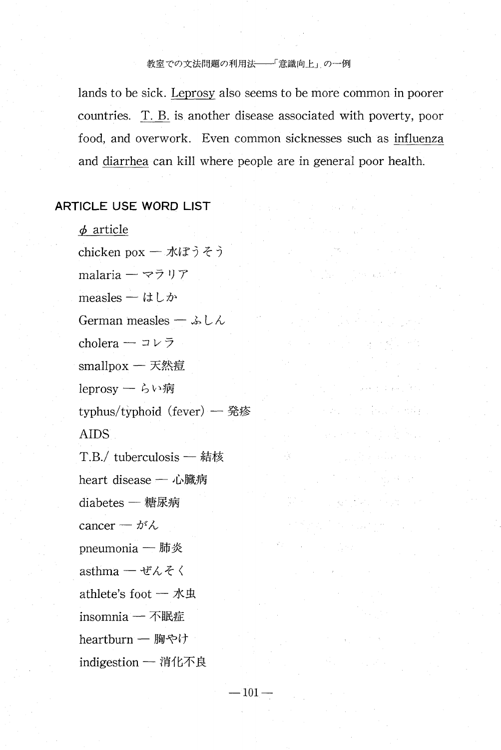# 教室での文法問題の利用法–––「意識向上」の一例

lands to be sick. Leprosy also seems to be more common in poorer countries. T. B. is another disease associated with poverty, poor food, and overwork. Even common sicknesses such as influenza and diarrhea can kill where people are in general poor health.

Service Store

Art (1991-1992) Art

# ARTICLE USE WORD LIST

 $\phi$  article

chicken pox - 水ぼうそう malaria - マラリア measles  $\ddot{\imath}$   $\downarrow$   $\ddot{\jmath}$ German measles -  $\&L\&$ cholera -  $\neg \nu \nabla$ smallpox  $-$  天然痘 leprosy - らい病 typhus/typhoid (fever) - 発疹 AIDS<sup>1</sup> T.B./ tuberculosis - 結核 heart disease - 心臓病  $diabetes - \n$ 糖尿病 cancer —  $\ensuremath{\vec{\mathcal{M}}}\xspace\sim$ pneumonia - 肺炎 asthma — ぜんそく athlete's foot  $-$  水虫 insomnia - 不眠症 heartburn - 胸やけ indigestion - 消化不良

 $-101-$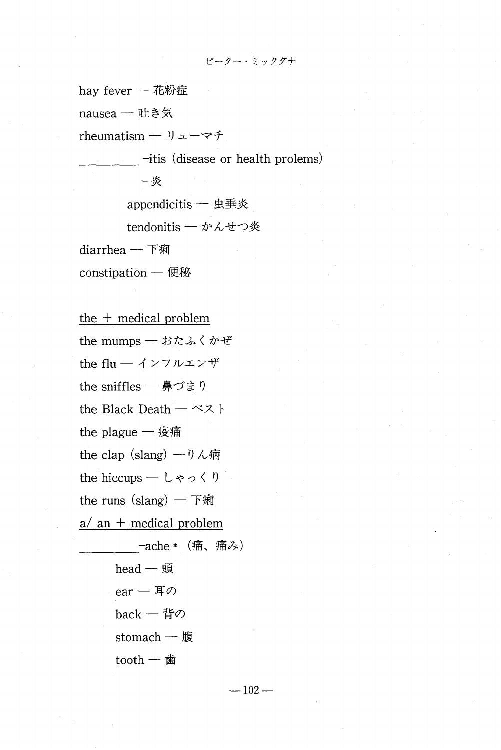ピーター・ミックダナ

hay fever - 花粉症

nausea - 吐き気

rheumatism - リューマチ

it is (disease or health prolems)

-炎

appendicitis - 虫垂炎

tendonitis - かんせつ炎

 $diar$ rhea — 下痢

constipation - 便秘

the  $+$  medical problem the mumps – おたふくかぜ the flu - インフルエンザ the sniffles – 鼻づまり the Black Death  $-\curvearrowright \lambda$ the plague  $-$  疫痛 the clap (slang)  $-$  0 ん病 the runs  $(slang)$  – 下痢  $a/an$  + medical problem -ache \* (痛、痛み) head  $-\n$ 頭 ear – 耳の back – 背の

stomach — 腹

tooth  $-$ 歯

 $-102-$